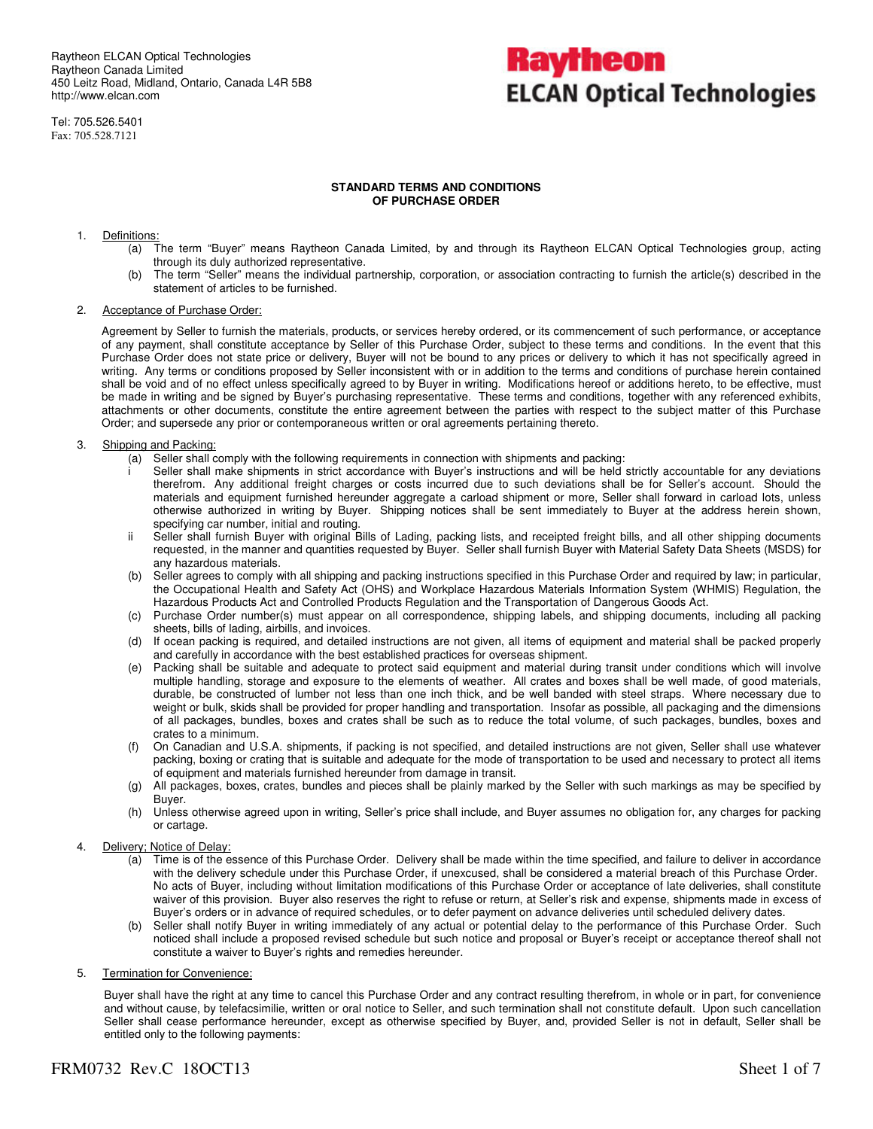Raytheon ELCAN Optical Technologies Raytheon Canada Limited 450 Leitz Road, Midland, Ontario, Canada L4R 5B8 http://www.elcan.com

Tel: 705.526.5401 Fax: 705.528.7121

## Kayfheon **ELCAN Optical Technologies**

#### **STANDARD TERMS AND CONDITIONS OF PURCHASE ORDER**

#### 1. Definitions:

- (a) The term "Buyer" means Raytheon Canada Limited, by and through its Raytheon ELCAN Optical Technologies group, acting through its duly authorized representative.
- (b) The term "Seller" means the individual partnership, corporation, or association contracting to furnish the article(s) described in the statement of articles to be furnished.

#### 2. Acceptance of Purchase Order:

Agreement by Seller to furnish the materials, products, or services hereby ordered, or its commencement of such performance, or acceptance of any payment, shall constitute acceptance by Seller of this Purchase Order, subject to these terms and conditions. In the event that this Purchase Order does not state price or delivery, Buyer will not be bound to any prices or delivery to which it has not specifically agreed in writing. Any terms or conditions proposed by Seller inconsistent with or in addition to the terms and conditions of purchase herein contained shall be void and of no effect unless specifically agreed to by Buyer in writing. Modifications hereof or additions hereto, to be effective, must be made in writing and be signed by Buyer's purchasing representative. These terms and conditions, together with any referenced exhibits, attachments or other documents, constitute the entire agreement between the parties with respect to the subject matter of this Purchase Order; and supersede any prior or contemporaneous written or oral agreements pertaining thereto.

#### 3. Shipping and Packing:

- (a) Seller shall comply with the following requirements in connection with shipments and packing:
	- Seller shall make shipments in strict accordance with Buyer's instructions and will be held strictly accountable for any deviations therefrom. Any additional freight charges or costs incurred due to such deviations shall be for Seller's account. Should the materials and equipment furnished hereunder aggregate a carload shipment or more, Seller shall forward in carload lots, unless otherwise authorized in writing by Buyer. Shipping notices shall be sent immediately to Buyer at the address herein shown, specifying car number, initial and routing.
	- ii Seller shall furnish Buyer with original Bills of Lading, packing lists, and receipted freight bills, and all other shipping documents requested, in the manner and quantities requested by Buyer. Seller shall furnish Buyer with Material Safety Data Sheets (MSDS) for any hazardous materials.
	- (b) Seller agrees to comply with all shipping and packing instructions specified in this Purchase Order and required by law; in particular, the Occupational Health and Safety Act (OHS) and Workplace Hazardous Materials Information System (WHMIS) Regulation, the Hazardous Products Act and Controlled Products Regulation and the Transportation of Dangerous Goods Act.
	- (c) Purchase Order number(s) must appear on all correspondence, shipping labels, and shipping documents, including all packing sheets, bills of lading, airbills, and invoices.
	- (d) If ocean packing is required, and detailed instructions are not given, all items of equipment and material shall be packed properly and carefully in accordance with the best established practices for overseas shipment.
	- (e) Packing shall be suitable and adequate to protect said equipment and material during transit under conditions which will involve multiple handling, storage and exposure to the elements of weather. All crates and boxes shall be well made, of good materials, durable, be constructed of lumber not less than one inch thick, and be well banded with steel straps. Where necessary due to weight or bulk, skids shall be provided for proper handling and transportation. Insofar as possible, all packaging and the dimensions of all packages, bundles, boxes and crates shall be such as to reduce the total volume, of such packages, bundles, boxes and crates to a minimum.
	- (f) On Canadian and U.S.A. shipments, if packing is not specified, and detailed instructions are not given, Seller shall use whatever packing, boxing or crating that is suitable and adequate for the mode of transportation to be used and necessary to protect all items of equipment and materials furnished hereunder from damage in transit.
	- (g) All packages, boxes, crates, bundles and pieces shall be plainly marked by the Seller with such markings as may be specified by Buyer.
	- (h) Unless otherwise agreed upon in writing, Seller's price shall include, and Buyer assumes no obligation for, any charges for packing or cartage.

#### 4. Delivery; Notice of Delay:

- (a) Time is of the essence of this Purchase Order. Delivery shall be made within the time specified, and failure to deliver in accordance with the delivery schedule under this Purchase Order, if unexcused, shall be considered a material breach of this Purchase Order. No acts of Buyer, including without limitation modifications of this Purchase Order or acceptance of late deliveries, shall constitute waiver of this provision. Buyer also reserves the right to refuse or return, at Seller's risk and expense, shipments made in excess of Buyer's orders or in advance of required schedules, or to defer payment on advance deliveries until scheduled delivery dates.
- Seller shall notify Buyer in writing immediately of any actual or potential delay to the performance of this Purchase Order. Such noticed shall include a proposed revised schedule but such notice and proposal or Buyer's receipt or acceptance thereof shall not constitute a waiver to Buyer's rights and remedies hereunder.
- 5. Termination for Convenience:

Buyer shall have the right at any time to cancel this Purchase Order and any contract resulting therefrom, in whole or in part, for convenience and without cause, by telefacsimilie, written or oral notice to Seller, and such termination shall not constitute default. Upon such cancellation Seller shall cease performance hereunder, except as otherwise specified by Buyer, and, provided Seller is not in default, Seller shall be entitled only to the following payments:

### FRM0732 Rev.C 180CT13 Sheet 1 of 7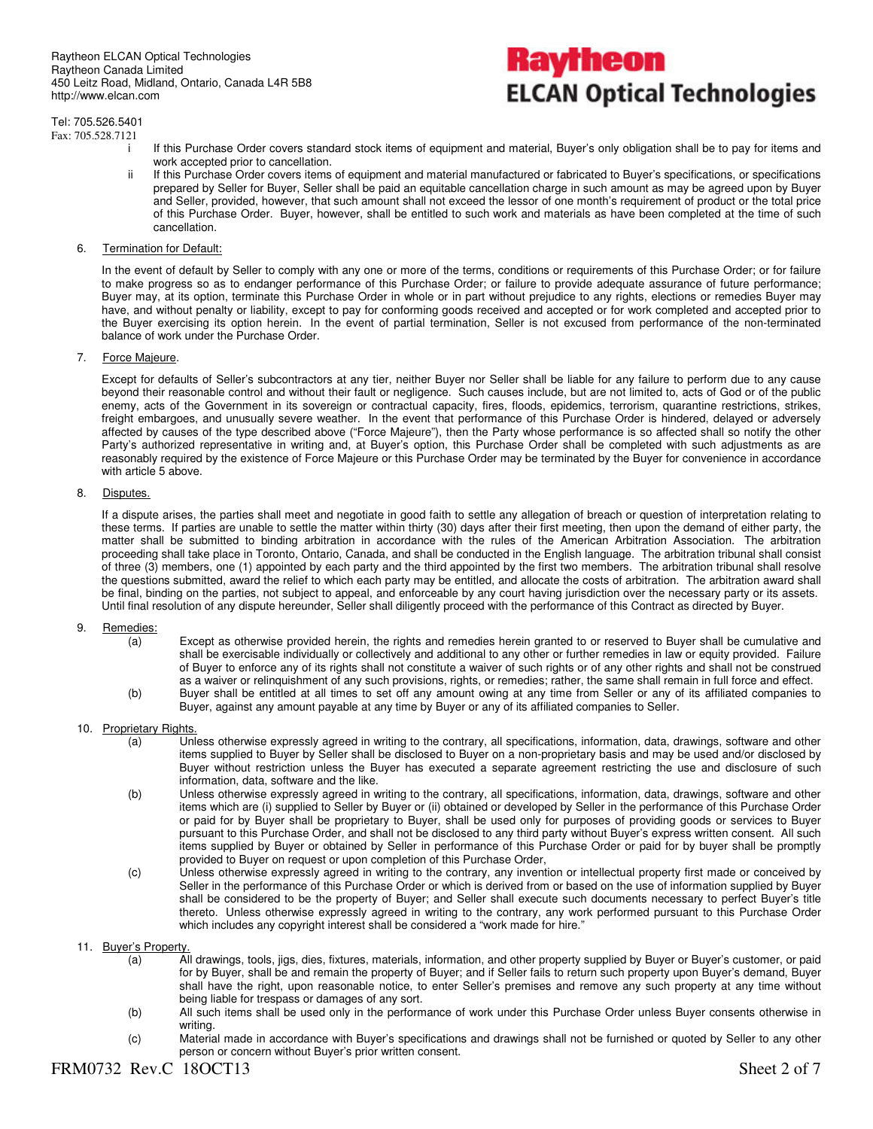### Tel: 705.526.5401

Fax: 705.528.7121

- Raytheon **ELCAN Optical Technologies**
- i If this Purchase Order covers standard stock items of equipment and material, Buyer's only obligation shall be to pay for items and work accepted prior to cancellation.
- ii If this Purchase Order covers items of equipment and material manufactured or fabricated to Buyer's specifications, or specifications prepared by Seller for Buyer, Seller shall be paid an equitable cancellation charge in such amount as may be agreed upon by Buyer and Seller, provided, however, that such amount shall not exceed the lessor of one month's requirement of product or the total price of this Purchase Order. Buyer, however, shall be entitled to such work and materials as have been completed at the time of such cancellation.
- 6. Termination for Default:

In the event of default by Seller to comply with any one or more of the terms, conditions or requirements of this Purchase Order; or for failure to make progress so as to endanger performance of this Purchase Order; or failure to provide adequate assurance of future performance; Buyer may, at its option, terminate this Purchase Order in whole or in part without prejudice to any rights, elections or remedies Buyer may have, and without penalty or liability, except to pay for conforming goods received and accepted or for work completed and accepted prior to the Buyer exercising its option herein. In the event of partial termination, Seller is not excused from performance of the non-terminated balance of work under the Purchase Order.

7. Force Majeure.

Except for defaults of Seller's subcontractors at any tier, neither Buyer nor Seller shall be liable for any failure to perform due to any cause beyond their reasonable control and without their fault or negligence. Such causes include, but are not limited to, acts of God or of the public enemy, acts of the Government in its sovereign or contractual capacity, fires, floods, epidemics, terrorism, quarantine restrictions, strikes, freight embargoes, and unusually severe weather. In the event that performance of this Purchase Order is hindered, delayed or adversely affected by causes of the type described above ("Force Majeure"), then the Party whose performance is so affected shall so notify the other Party's authorized representative in writing and, at Buyer's option, this Purchase Order shall be completed with such adjustments as are reasonably required by the existence of Force Majeure or this Purchase Order may be terminated by the Buyer for convenience in accordance with article 5 above.

#### 8. Disputes.

If a dispute arises, the parties shall meet and negotiate in good faith to settle any allegation of breach or question of interpretation relating to these terms. If parties are unable to settle the matter within thirty (30) days after their first meeting, then upon the demand of either party, the matter shall be submitted to binding arbitration in accordance with the rules of the American Arbitration Association. The arbitration proceeding shall take place in Toronto, Ontario, Canada, and shall be conducted in the English language. The arbitration tribunal shall consist of three (3) members, one (1) appointed by each party and the third appointed by the first two members. The arbitration tribunal shall resolve the questions submitted, award the relief to which each party may be entitled, and allocate the costs of arbitration. The arbitration award shall be final, binding on the parties, not subject to appeal, and enforceable by any court having jurisdiction over the necessary party or its assets. Until final resolution of any dispute hereunder, Seller shall diligently proceed with the performance of this Contract as directed by Buyer.

#### 9. Remedies:

- (a) Except as otherwise provided herein, the rights and remedies herein granted to or reserved to Buyer shall be cumulative and shall be exercisable individually or collectively and additional to any other or further remedies in law or equity provided. Failure of Buyer to enforce any of its rights shall not constitute a waiver of such rights or of any other rights and shall not be construed as a waiver or relinquishment of any such provisions, rights, or remedies; rather, the same shall remain in full force and effect.
- (b) Buyer shall be entitled at all times to set off any amount owing at any time from Seller or any of its affiliated companies to Buyer, against any amount payable at any time by Buyer or any of its affiliated companies to Seller.

#### 10. Proprietary Rights

- (a) Unless otherwise expressly agreed in writing to the contrary, all specifications, information, data, drawings, software and other items supplied to Buyer by Seller shall be disclosed to Buyer on a non-proprietary basis and may be used and/or disclosed by Buyer without restriction unless the Buyer has executed a separate agreement restricting the use and disclosure of such information, data, software and the like.
- (b) Unless otherwise expressly agreed in writing to the contrary, all specifications, information, data, drawings, software and other items which are (i) supplied to Seller by Buyer or (ii) obtained or developed by Seller in the performance of this Purchase Order or paid for by Buyer shall be proprietary to Buyer, shall be used only for purposes of providing goods or services to Buyer pursuant to this Purchase Order, and shall not be disclosed to any third party without Buyer's express written consent. All such items supplied by Buyer or obtained by Seller in performance of this Purchase Order or paid for by buyer shall be promptly provided to Buyer on request or upon completion of this Purchase Order,
- (c) Unless otherwise expressly agreed in writing to the contrary, any invention or intellectual property first made or conceived by Seller in the performance of this Purchase Order or which is derived from or based on the use of information supplied by Buyer shall be considered to be the property of Buyer; and Seller shall execute such documents necessary to perfect Buyer's title thereto. Unless otherwise expressly agreed in writing to the contrary, any work performed pursuant to this Purchase Order which includes any copyright interest shall be considered a "work made for hire."

#### 11. Buyer's Property.

- (a) All drawings, tools, jigs, dies, fixtures, materials, information, and other property supplied by Buyer or Buyer's customer, or paid for by Buyer, shall be and remain the property of Buyer; and if Seller fails to return such property upon Buyer's demand, Buyer shall have the right, upon reasonable notice, to enter Seller's premises and remove any such property at any time without being liable for trespass or damages of any sort.
- (b) All such items shall be used only in the performance of work under this Purchase Order unless Buyer consents otherwise in writing.
- (c) Material made in accordance with Buyer's specifications and drawings shall not be furnished or quoted by Seller to any other person or concern without Buyer's prior written consent.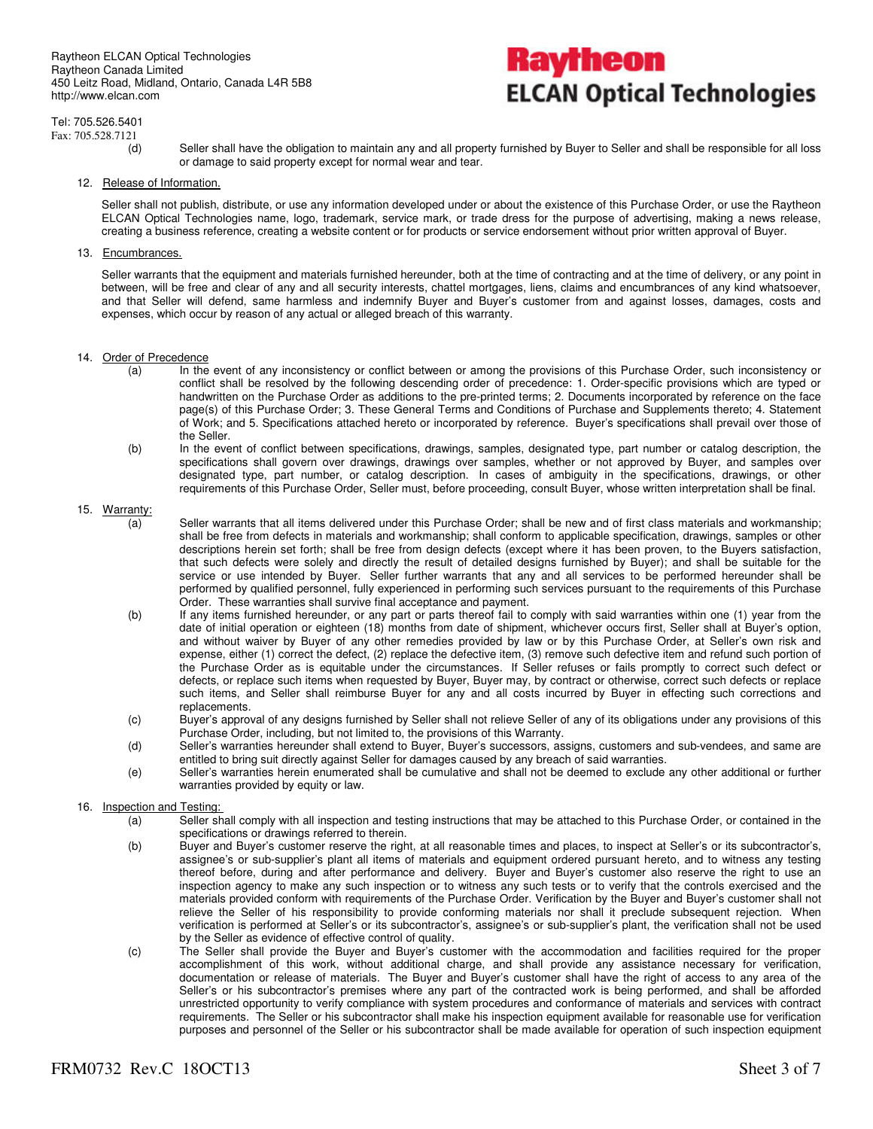

Tel: 705.526.5401 Fax: 705.528.7121

- - (d) Seller shall have the obligation to maintain any and all property furnished by Buyer to Seller and shall be responsible for all loss or damage to said property except for normal wear and tear.
- 12. Release of Information.

Seller shall not publish, distribute, or use any information developed under or about the existence of this Purchase Order, or use the Raytheon ELCAN Optical Technologies name, logo, trademark, service mark, or trade dress for the purpose of advertising, making a news release, creating a business reference, creating a website content or for products or service endorsement without prior written approval of Buyer.

13. Encumbrances.

Seller warrants that the equipment and materials furnished hereunder, both at the time of contracting and at the time of delivery, or any point in between, will be free and clear of any and all security interests, chattel mortgages, liens, claims and encumbrances of any kind whatsoever, and that Seller will defend, same harmless and indemnify Buyer and Buyer's customer from and against losses, damages, costs and expenses, which occur by reason of any actual or alleged breach of this warranty.

- 14. Order of Precedence
	- (a) In the event of any inconsistency or conflict between or among the provisions of this Purchase Order, such inconsistency or conflict shall be resolved by the following descending order of precedence: 1. Order-specific provisions which are typed or handwritten on the Purchase Order as additions to the pre-printed terms; 2. Documents incorporated by reference on the face page(s) of this Purchase Order; 3. These General Terms and Conditions of Purchase and Supplements thereto; 4. Statement of Work; and 5. Specifications attached hereto or incorporated by reference. Buyer's specifications shall prevail over those of the Seller.
	- (b) In the event of conflict between specifications, drawings, samples, designated type, part number or catalog description, the specifications shall govern over drawings, drawings over samples, whether or not approved by Buyer, and samples over designated type, part number, or catalog description. In cases of ambiguity in the specifications, drawings, or other requirements of this Purchase Order, Seller must, before proceeding, consult Buyer, whose written interpretation shall be final.

### 15.  $\frac{\text{Warranty:}}{a}$

- Seller warrants that all items delivered under this Purchase Order; shall be new and of first class materials and workmanship; shall be free from defects in materials and workmanship; shall conform to applicable specification, drawings, samples or other descriptions herein set forth; shall be free from design defects (except where it has been proven, to the Buyers satisfaction, that such defects were solely and directly the result of detailed designs furnished by Buyer); and shall be suitable for the service or use intended by Buyer. Seller further warrants that any and all services to be performed hereunder shall be performed by qualified personnel, fully experienced in performing such services pursuant to the requirements of this Purchase Order. These warranties shall survive final acceptance and payment.
- (b) If any items furnished hereunder, or any part or parts thereof fail to comply with said warranties within one (1) year from the date of initial operation or eighteen (18) months from date of shipment, whichever occurs first, Seller shall at Buyer's option, and without waiver by Buyer of any other remedies provided by law or by this Purchase Order, at Seller's own risk and expense, either (1) correct the defect, (2) replace the defective item, (3) remove such defective item and refund such portion of the Purchase Order as is equitable under the circumstances. If Seller refuses or fails promptly to correct such defect or defects, or replace such items when requested by Buyer, Buyer may, by contract or otherwise, correct such defects or replace such items, and Seller shall reimburse Buyer for any and all costs incurred by Buyer in effecting such corrections and replacements.
- (c) Buyer's approval of any designs furnished by Seller shall not relieve Seller of any of its obligations under any provisions of this Purchase Order, including, but not limited to, the provisions of this Warranty.
- (d) Seller's warranties hereunder shall extend to Buyer, Buyer's successors, assigns, customers and sub-vendees, and same are entitled to bring suit directly against Seller for damages caused by any breach of said warranties.
- (e) Seller's warranties herein enumerated shall be cumulative and shall not be deemed to exclude any other additional or further warranties provided by equity or law.
- 16. Inspection and Testing:
	- (a) Seller shall comply with all inspection and testing instructions that may be attached to this Purchase Order, or contained in the specifications or drawings referred to therein.
	- (b) Buyer and Buyer's customer reserve the right, at all reasonable times and places, to inspect at Seller's or its subcontractor's, assignee's or sub-supplier's plant all items of materials and equipment ordered pursuant hereto, and to witness any testing thereof before, during and after performance and delivery. Buyer and Buyer's customer also reserve the right to use an inspection agency to make any such inspection or to witness any such tests or to verify that the controls exercised and the materials provided conform with requirements of the Purchase Order. Verification by the Buyer and Buyer's customer shall not relieve the Seller of his responsibility to provide conforming materials nor shall it preclude subsequent rejection. When verification is performed at Seller's or its subcontractor's, assignee's or sub-supplier's plant, the verification shall not be used by the Seller as evidence of effective control of quality.
	- (c) The Seller shall provide the Buyer and Buyer's customer with the accommodation and facilities required for the proper accomplishment of this work, without additional charge, and shall provide any assistance necessary for verification, documentation or release of materials. The Buyer and Buyer's customer shall have the right of access to any area of the Seller's or his subcontractor's premises where any part of the contracted work is being performed, and shall be afforded unrestricted opportunity to verify compliance with system procedures and conformance of materials and services with contract requirements. The Seller or his subcontractor shall make his inspection equipment available for reasonable use for verification purposes and personnel of the Seller or his subcontractor shall be made available for operation of such inspection equipment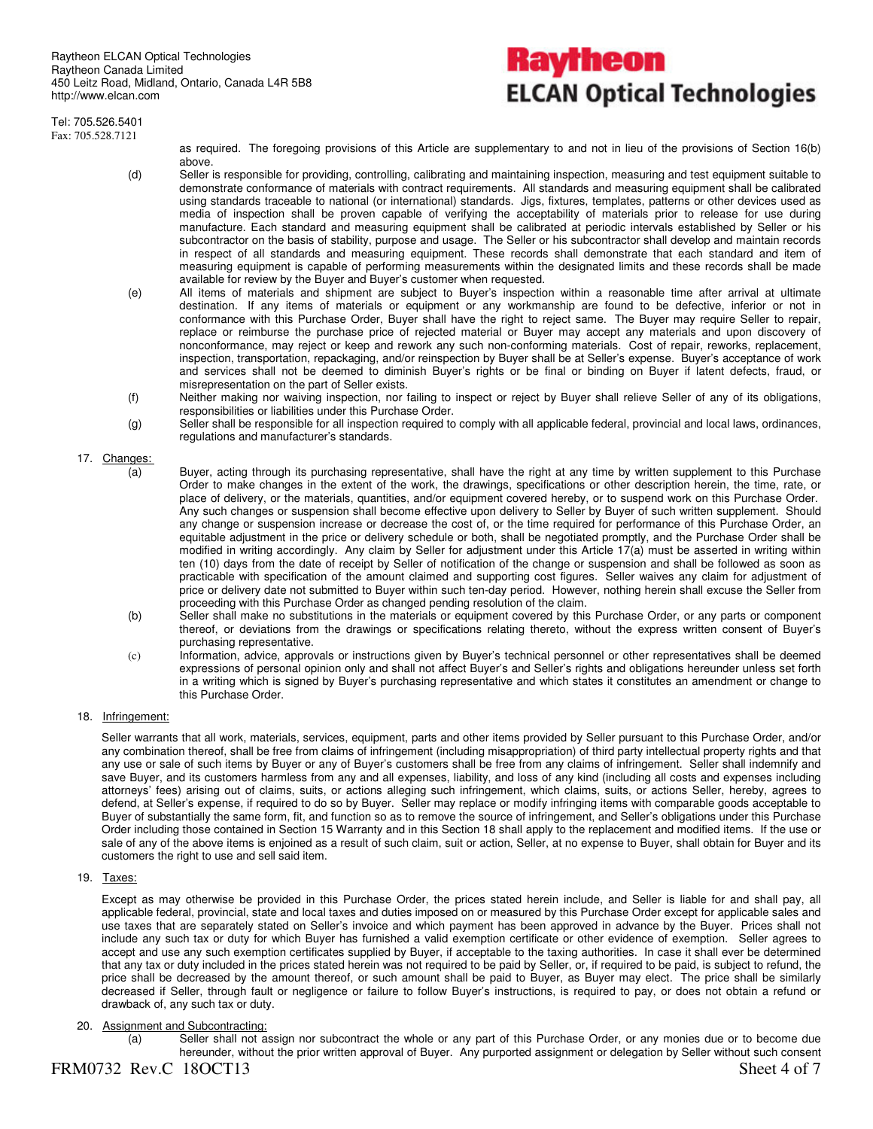# Raytheon **ELCAN Optical Technologies**

Tel: 705.526.5401 Fax: 705.528.7121

as required. The foregoing provisions of this Article are supplementary to and not in lieu of the provisions of Section 16(b) above.

- (d) Seller is responsible for providing, controlling, calibrating and maintaining inspection, measuring and test equipment suitable to demonstrate conformance of materials with contract requirements. All standards and measuring equipment shall be calibrated using standards traceable to national (or international) standards. Jigs, fixtures, templates, patterns or other devices used as media of inspection shall be proven capable of verifying the acceptability of materials prior to release for use during manufacture. Each standard and measuring equipment shall be calibrated at periodic intervals established by Seller or his subcontractor on the basis of stability, purpose and usage. The Seller or his subcontractor shall develop and maintain records in respect of all standards and measuring equipment. These records shall demonstrate that each standard and item of measuring equipment is capable of performing measurements within the designated limits and these records shall be made available for review by the Buyer and Buyer's customer when requested.
- (e) All items of materials and shipment are subject to Buyer's inspection within a reasonable time after arrival at ultimate destination. If any items of materials or equipment or any workmanship are found to be defective, inferior or not in conformance with this Purchase Order, Buyer shall have the right to reject same. The Buyer may require Seller to repair, replace or reimburse the purchase price of rejected material or Buyer may accept any materials and upon discovery of nonconformance, may reject or keep and rework any such non-conforming materials. Cost of repair, reworks, replacement, inspection, transportation, repackaging, and/or reinspection by Buyer shall be at Seller's expense. Buyer's acceptance of work and services shall not be deemed to diminish Buyer's rights or be final or binding on Buyer if latent defects, fraud, or misrepresentation on the part of Seller exists.
- (f) Neither making nor waiving inspection, nor failing to inspect or reject by Buyer shall relieve Seller of any of its obligations, responsibilities or liabilities under this Purchase Order.
- (g) Seller shall be responsible for all inspection required to comply with all applicable federal, provincial and local laws, ordinances, regulations and manufacturer's standards.

#### 17. Changes:

- (a) Buyer, acting through its purchasing representative, shall have the right at any time by written supplement to this Purchase Order to make changes in the extent of the work, the drawings, specifications or other description herein, the time, rate, or place of delivery, or the materials, quantities, and/or equipment covered hereby, or to suspend work on this Purchase Order. Any such changes or suspension shall become effective upon delivery to Seller by Buyer of such written supplement. Should any change or suspension increase or decrease the cost of, or the time required for performance of this Purchase Order, an equitable adjustment in the price or delivery schedule or both, shall be negotiated promptly, and the Purchase Order shall be modified in writing accordingly. Any claim by Seller for adjustment under this Article 17(a) must be asserted in writing within ten (10) days from the date of receipt by Seller of notification of the change or suspension and shall be followed as soon as practicable with specification of the amount claimed and supporting cost figures. Seller waives any claim for adjustment of price or delivery date not submitted to Buyer within such ten-day period. However, nothing herein shall excuse the Seller from proceeding with this Purchase Order as changed pending resolution of the claim.
- (b) Seller shall make no substitutions in the materials or equipment covered by this Purchase Order, or any parts or component thereof, or deviations from the drawings or specifications relating thereto, without the express written consent of Buyer's purchasing representative.
- (c) Information, advice, approvals or instructions given by Buyer's technical personnel or other representatives shall be deemed expressions of personal opinion only and shall not affect Buyer's and Seller's rights and obligations hereunder unless set forth in a writing which is signed by Buyer's purchasing representative and which states it constitutes an amendment or change to this Purchase Order.

#### 18. Infringement:

Seller warrants that all work, materials, services, equipment, parts and other items provided by Seller pursuant to this Purchase Order, and/or any combination thereof, shall be free from claims of infringement (including misappropriation) of third party intellectual property rights and that any use or sale of such items by Buyer or any of Buyer's customers shall be free from any claims of infringement. Seller shall indemnify and save Buyer, and its customers harmless from any and all expenses, liability, and loss of any kind (including all costs and expenses including attorneys' fees) arising out of claims, suits, or actions alleging such infringement, which claims, suits, or actions Seller, hereby, agrees to defend, at Seller's expense, if required to do so by Buyer. Seller may replace or modify infringing items with comparable goods acceptable to Buyer of substantially the same form, fit, and function so as to remove the source of infringement, and Seller's obligations under this Purchase Order including those contained in Section 15 Warranty and in this Section 18 shall apply to the replacement and modified items. If the use or sale of any of the above items is enjoined as a result of such claim, suit or action, Seller, at no expense to Buyer, shall obtain for Buyer and its customers the right to use and sell said item.

#### 19. Taxes:

Except as may otherwise be provided in this Purchase Order, the prices stated herein include, and Seller is liable for and shall pay, all applicable federal, provincial, state and local taxes and duties imposed on or measured by this Purchase Order except for applicable sales and use taxes that are separately stated on Seller's invoice and which payment has been approved in advance by the Buyer. Prices shall not include any such tax or duty for which Buyer has furnished a valid exemption certificate or other evidence of exemption. Seller agrees to accept and use any such exemption certificates supplied by Buyer, if acceptable to the taxing authorities. In case it shall ever be determined that any tax or duty included in the prices stated herein was not required to be paid by Seller, or, if required to be paid, is subject to refund, the price shall be decreased by the amount thereof, or such amount shall be paid to Buyer, as Buyer may elect. The price shall be similarly decreased if Seller, through fault or negligence or failure to follow Buyer's instructions, is required to pay, or does not obtain a refund or drawback of, any such tax or duty.

#### 20. Assignment and Subcontracting:

(a) Seller shall not assign nor subcontract the whole or any part of this Purchase Order, or any monies due or to become due hereunder, without the prior written approval of Buyer. Any purported assignment or delegation by Seller without such consent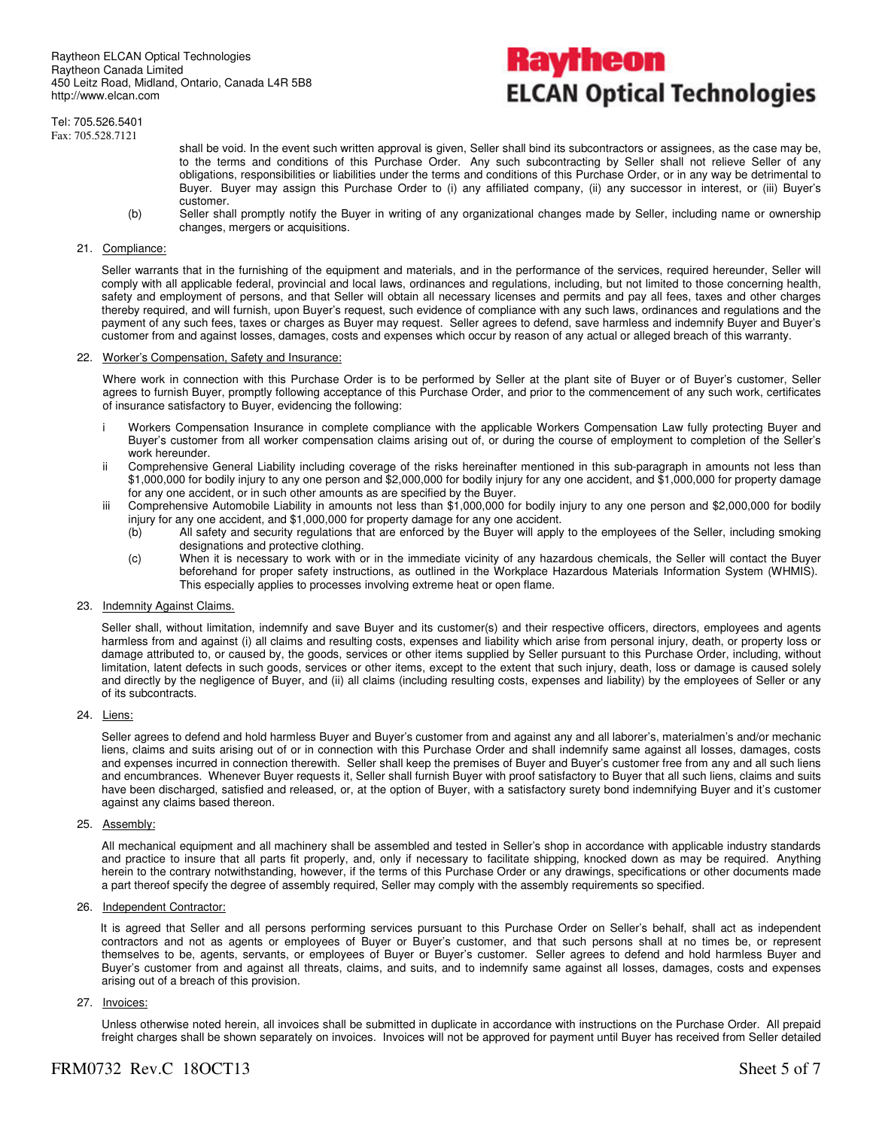# Raytheon **ELCAN Optical Technologies**

Tel: 705.526.5401 Fax: 705.528.7121

- shall be void. In the event such written approval is given, Seller shall bind its subcontractors or assignees, as the case may be, to the terms and conditions of this Purchase Order. Any such subcontracting by Seller shall not relieve Seller of any obligations, responsibilities or liabilities under the terms and conditions of this Purchase Order, or in any way be detrimental to Buyer. Buyer may assign this Purchase Order to (i) any affiliated company, (ii) any successor in interest, or (iii) Buyer's customer.
- (b) Seller shall promptly notify the Buyer in writing of any organizational changes made by Seller, including name or ownership changes, mergers or acquisitions.

#### 21. Compliance:

Seller warrants that in the furnishing of the equipment and materials, and in the performance of the services, required hereunder, Seller will comply with all applicable federal, provincial and local laws, ordinances and regulations, including, but not limited to those concerning health, safety and employment of persons, and that Seller will obtain all necessary licenses and permits and pay all fees, taxes and other charges thereby required, and will furnish, upon Buyer's request, such evidence of compliance with any such laws, ordinances and regulations and the payment of any such fees, taxes or charges as Buyer may request. Seller agrees to defend, save harmless and indemnify Buyer and Buyer's customer from and against losses, damages, costs and expenses which occur by reason of any actual or alleged breach of this warranty.

#### 22. Worker's Compensation, Safety and Insurance:

Where work in connection with this Purchase Order is to be performed by Seller at the plant site of Buyer or of Buyer's customer, Seller agrees to furnish Buyer, promptly following acceptance of this Purchase Order, and prior to the commencement of any such work, certificates of insurance satisfactory to Buyer, evidencing the following:

- i Workers Compensation Insurance in complete compliance with the applicable Workers Compensation Law fully protecting Buyer and Buyer's customer from all worker compensation claims arising out of, or during the course of employment to completion of the Seller's work hereunder.
- ii Comprehensive General Liability including coverage of the risks hereinafter mentioned in this sub-paragraph in amounts not less than \$1,000,000 for bodily injury to any one person and \$2,000,000 for bodily injury for any one accident, and \$1,000,000 for property damage for any one accident, or in such other amounts as are specified by the Buyer.
- iii Comprehensive Automobile Liability in amounts not less than \$1,000,000 for bodily injury to any one person and \$2,000,000 for bodily injury for any one accident, and \$1,000,000 for property damage for any one accident.
	- (b) All safety and security regulations that are enforced by the Buyer will apply to the employees of the Seller, including smoking designations and protective clothing.
	- (c) When it is necessary to work with or in the immediate vicinity of any hazardous chemicals, the Seller will contact the Buyer beforehand for proper safety instructions, as outlined in the Workplace Hazardous Materials Information System (WHMIS). This especially applies to processes involving extreme heat or open flame.

#### 23. Indemnity Against Claims.

Seller shall, without limitation, indemnify and save Buyer and its customer(s) and their respective officers, directors, employees and agents harmless from and against (i) all claims and resulting costs, expenses and liability which arise from personal injury, death, or property loss or damage attributed to, or caused by, the goods, services or other items supplied by Seller pursuant to this Purchase Order, including, without limitation, latent defects in such goods, services or other items, except to the extent that such injury, death, loss or damage is caused solely and directly by the negligence of Buyer, and (ii) all claims (including resulting costs, expenses and liability) by the employees of Seller or any of its subcontracts.

#### 24. Liens:

Seller agrees to defend and hold harmless Buyer and Buyer's customer from and against any and all laborer's, materialmen's and/or mechanic liens, claims and suits arising out of or in connection with this Purchase Order and shall indemnify same against all losses, damages, costs and expenses incurred in connection therewith. Seller shall keep the premises of Buyer and Buyer's customer free from any and all such liens and encumbrances. Whenever Buyer requests it, Seller shall furnish Buyer with proof satisfactory to Buyer that all such liens, claims and suits have been discharged, satisfied and released, or, at the option of Buyer, with a satisfactory surety bond indemnifying Buyer and it's customer against any claims based thereon.

#### 25. Assembly:

All mechanical equipment and all machinery shall be assembled and tested in Seller's shop in accordance with applicable industry standards and practice to insure that all parts fit properly, and, only if necessary to facilitate shipping, knocked down as may be required. Anything herein to the contrary notwithstanding, however, if the terms of this Purchase Order or any drawings, specifications or other documents made a part thereof specify the degree of assembly required, Seller may comply with the assembly requirements so specified.

#### 26. Independent Contractor:

It is agreed that Seller and all persons performing services pursuant to this Purchase Order on Seller's behalf, shall act as independent contractors and not as agents or employees of Buyer or Buyer's customer, and that such persons shall at no times be, or represent themselves to be, agents, servants, or employees of Buyer or Buyer's customer. Seller agrees to defend and hold harmless Buyer and Buyer's customer from and against all threats, claims, and suits, and to indemnify same against all losses, damages, costs and expenses arising out of a breach of this provision.

#### 27. Invoices:

Unless otherwise noted herein, all invoices shall be submitted in duplicate in accordance with instructions on the Purchase Order. All prepaid freight charges shall be shown separately on invoices. Invoices will not be approved for payment until Buyer has received from Seller detailed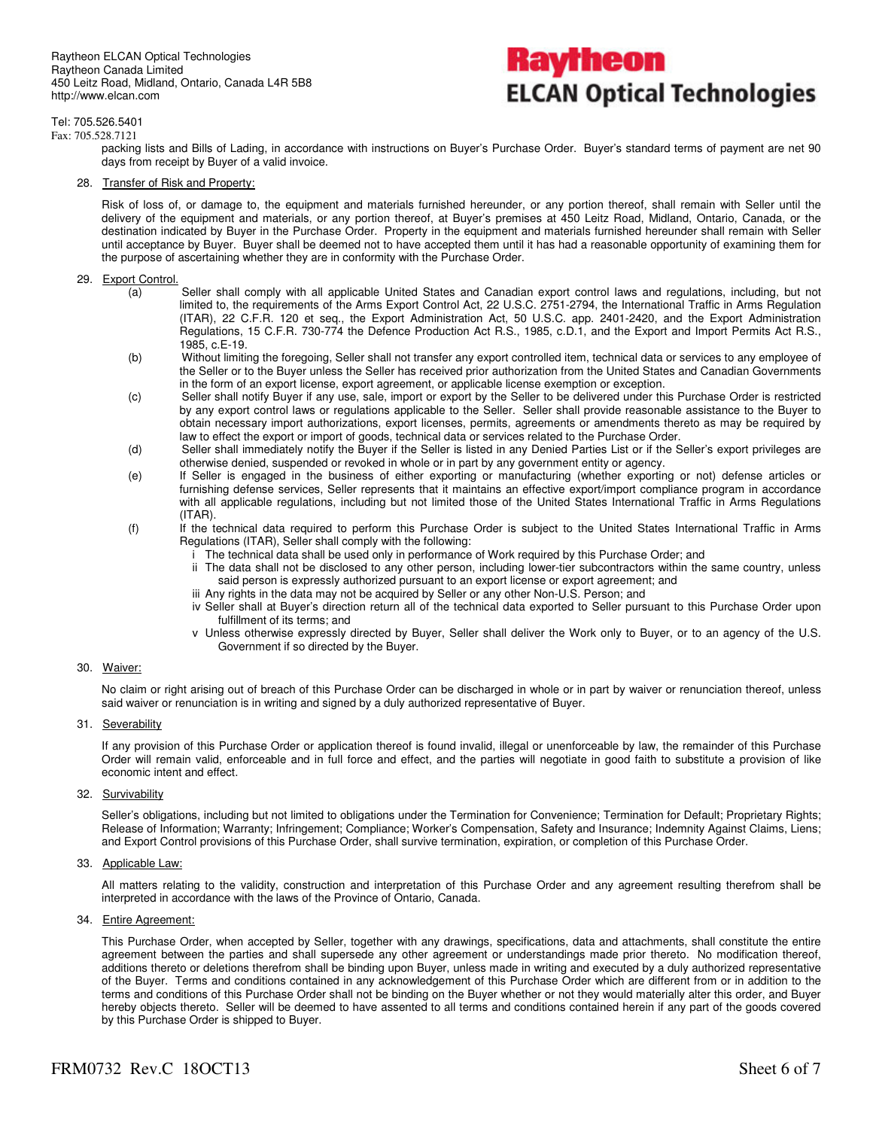Raytheon ELCAN Optical Technologies Raytheon Canada Limited 450 Leitz Road, Midland, Ontario, Canada L4R 5B8 http://www.elcan.com

# Kayfheon **ELCAN Optical Technologies**

#### Tel: 705.526.5401

Fax: 705.528.7121 packing lists and Bills of Lading, in accordance with instructions on Buyer's Purchase Order. Buyer's standard terms of payment are net 90 days from receipt by Buyer of a valid invoice.

28. Transfer of Risk and Property:

Risk of loss of, or damage to, the equipment and materials furnished hereunder, or any portion thereof, shall remain with Seller until the delivery of the equipment and materials, or any portion thereof, at Buyer's premises at 450 Leitz Road, Midland, Ontario, Canada, or the destination indicated by Buyer in the Purchase Order. Property in the equipment and materials furnished hereunder shall remain with Seller until acceptance by Buyer. Buyer shall be deemed not to have accepted them until it has had a reasonable opportunity of examining them for the purpose of ascertaining whether they are in conformity with the Purchase Order.

#### 29. Export Control.

- (a) Seller shall comply with all applicable United States and Canadian export control laws and regulations, including, but not limited to, the requirements of the Arms Export Control Act, 22 U.S.C. 2751-2794, the International Traffic in Arms Regulation (ITAR), 22 C.F.R. 120 et seq., the Export Administration Act, 50 U.S.C. app. 2401-2420, and the Export Administration Regulations, 15 C.F.R. 730-774 the Defence Production Act R.S., 1985, c.D.1, and the Export and Import Permits Act R.S., 1985, c.E-19.
- (b) Without limiting the foregoing, Seller shall not transfer any export controlled item, technical data or services to any employee of the Seller or to the Buyer unless the Seller has received prior authorization from the United States and Canadian Governments in the form of an export license, export agreement, or applicable license exemption or exception.
- (c) Seller shall notify Buyer if any use, sale, import or export by the Seller to be delivered under this Purchase Order is restricted by any export control laws or regulations applicable to the Seller. Seller shall provide reasonable assistance to the Buyer to obtain necessary import authorizations, export licenses, permits, agreements or amendments thereto as may be required by law to effect the export or import of goods, technical data or services related to the Purchase Order.
- (d) Seller shall immediately notify the Buyer if the Seller is listed in any Denied Parties List or if the Seller's export privileges are otherwise denied, suspended or revoked in whole or in part by any government entity or agency.
- (e) If Seller is engaged in the business of either exporting or manufacturing (whether exporting or not) defense articles or furnishing defense services, Seller represents that it maintains an effective export/import compliance program in accordance with all applicable regulations, including but not limited those of the United States International Traffic in Arms Regulations (ITAR).
- (f) If the technical data required to perform this Purchase Order is subject to the United States International Traffic in Arms Regulations (ITAR), Seller shall comply with the following:
	- i The technical data shall be used only in performance of Work required by this Purchase Order; and
	- ii The data shall not be disclosed to any other person, including lower-tier subcontractors within the same country, unless said person is expressly authorized pursuant to an export license or export agreement; and
	- iii Any rights in the data may not be acquired by Seller or any other Non-U.S. Person; and
	- iv Seller shall at Buyer's direction return all of the technical data exported to Seller pursuant to this Purchase Order upon fulfillment of its terms; and
	- v Unless otherwise expressly directed by Buyer, Seller shall deliver the Work only to Buyer, or to an agency of the U.S. Government if so directed by the Buyer.

#### 30. Waiver:

No claim or right arising out of breach of this Purchase Order can be discharged in whole or in part by waiver or renunciation thereof, unless said waiver or renunciation is in writing and signed by a duly authorized representative of Buyer.

#### 31. Severability

If any provision of this Purchase Order or application thereof is found invalid, illegal or unenforceable by law, the remainder of this Purchase Order will remain valid, enforceable and in full force and effect, and the parties will negotiate in good faith to substitute a provision of like economic intent and effect.

#### 32. Survivability

Seller's obligations, including but not limited to obligations under the Termination for Convenience; Termination for Default; Proprietary Rights; Release of Information; Warranty; Infringement; Compliance; Worker's Compensation, Safety and Insurance; Indemnity Against Claims, Liens; and Export Control provisions of this Purchase Order, shall survive termination, expiration, or completion of this Purchase Order.

33. Applicable Law:

All matters relating to the validity, construction and interpretation of this Purchase Order and any agreement resulting therefrom shall be interpreted in accordance with the laws of the Province of Ontario, Canada.

34. Entire Agreement:

This Purchase Order, when accepted by Seller, together with any drawings, specifications, data and attachments, shall constitute the entire agreement between the parties and shall supersede any other agreement or understandings made prior thereto. No modification thereof, additions thereto or deletions therefrom shall be binding upon Buyer, unless made in writing and executed by a duly authorized representative of the Buyer. Terms and conditions contained in any acknowledgement of this Purchase Order which are different from or in addition to the terms and conditions of this Purchase Order shall not be binding on the Buyer whether or not they would materially alter this order, and Buyer hereby objects thereto. Seller will be deemed to have assented to all terms and conditions contained herein if any part of the goods covered by this Purchase Order is shipped to Buyer.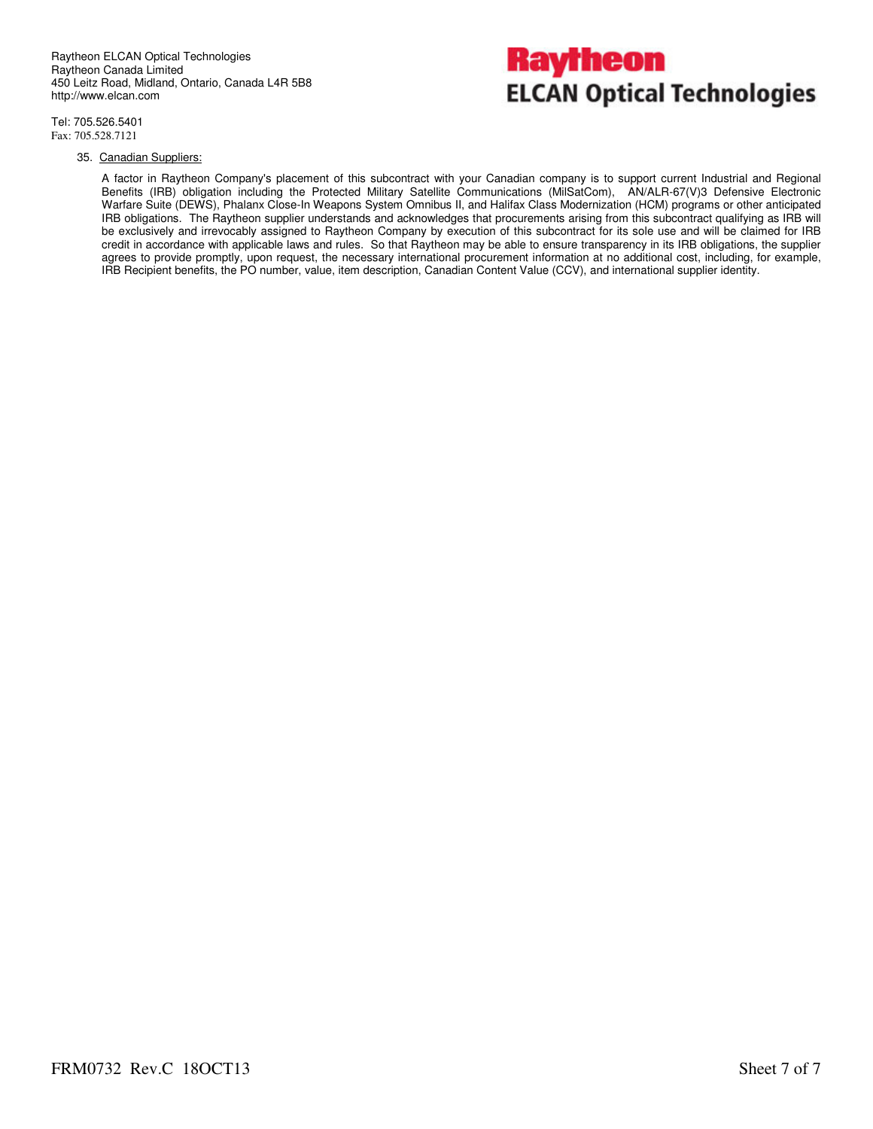

Tel: 705.526.5401 Fax: 705.528.7121

#### 35. Canadian Suppliers:

A factor in Raytheon Company's placement of this subcontract with your Canadian company is to support current Industrial and Regional Benefits (IRB) obligation including the Protected Military Satellite Communications (MilSatCom), AN/ALR-67(V)3 Defensive Electronic Warfare Suite (DEWS), Phalanx Close-In Weapons System Omnibus II, and Halifax Class Modernization (HCM) programs or other anticipated IRB obligations. The Raytheon supplier understands and acknowledges that procurements arising from this subcontract qualifying as IRB will be exclusively and irrevocably assigned to Raytheon Company by execution of this subcontract for its sole use and will be claimed for IRB credit in accordance with applicable laws and rules. So that Raytheon may be able to ensure transparency in its IRB obligations, the supplier agrees to provide promptly, upon request, the necessary international procurement information at no additional cost, including, for example, IRB Recipient benefits, the PO number, value, item description, Canadian Content Value (CCV), and international supplier identity.